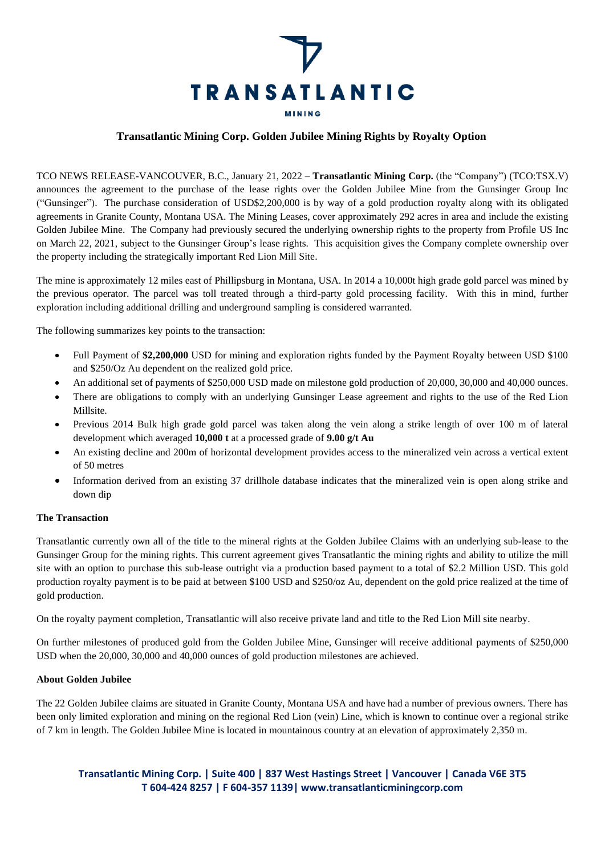

# **Transatlantic Mining Corp. Golden Jubilee Mining Rights by Royalty Option**

TCO NEWS RELEASE-VANCOUVER, B.C., January 21, 2022 – **Transatlantic Mining Corp.** (the "Company") (TCO:TSX.V) announces the agreement to the purchase of the lease rights over the Golden Jubilee Mine from the Gunsinger Group Inc ("Gunsinger"). The purchase consideration of USD\$2,200,000 is by way of a gold production royalty along with its obligated agreements in Granite County, Montana USA. The Mining Leases, cover approximately 292 acres in area and include the existing Golden Jubilee Mine. The Company had previously secured the underlying ownership rights to the property from Profile US Inc on March 22, 2021, subject to the Gunsinger Group's lease rights. This acquisition gives the Company complete ownership over the property including the strategically important Red Lion Mill Site.

The mine is approximately 12 miles east of Phillipsburg in Montana, USA. In 2014 a 10,000t high grade gold parcel was mined by the previous operator. The parcel was toll treated through a third-party gold processing facility. With this in mind, further exploration including additional drilling and underground sampling is considered warranted.

The following summarizes key points to the transaction:

- Full Payment of **\$2,200,000** USD for mining and exploration rights funded by the Payment Royalty between USD \$100 and \$250/Oz Au dependent on the realized gold price.
- An additional set of payments of \$250,000 USD made on milestone gold production of 20,000, 30,000 and 40,000 ounces.
- There are obligations to comply with an underlying Gunsinger Lease agreement and rights to the use of the Red Lion Millsite.
- Previous 2014 Bulk high grade gold parcel was taken along the vein along a strike length of over 100 m of lateral development which averaged **10,000 t** at a processed grade of **9.00 g/t Au**
- An existing decline and 200m of horizontal development provides access to the mineralized vein across a vertical extent of 50 metres
- Information derived from an existing 37 drillhole database indicates that the mineralized vein is open along strike and down dip

#### **The Transaction**

Transatlantic currently own all of the title to the mineral rights at the Golden Jubilee Claims with an underlying sub-lease to the Gunsinger Group for the mining rights. This current agreement gives Transatlantic the mining rights and ability to utilize the mill site with an option to purchase this sub-lease outright via a production based payment to a total of \$2.2 Million USD. This gold production royalty payment is to be paid at between \$100 USD and \$250/oz Au, dependent on the gold price realized at the time of gold production.

On the royalty payment completion, Transatlantic will also receive private land and title to the Red Lion Mill site nearby.

On further milestones of produced gold from the Golden Jubilee Mine, Gunsinger will receive additional payments of \$250,000 USD when the 20,000, 30,000 and 40,000 ounces of gold production milestones are achieved.

#### **About Golden Jubilee**

The 22 Golden Jubilee claims are situated in Granite County, Montana USA and have had a number of previous owners. There has been only limited exploration and mining on the regional Red Lion (vein) Line, which is known to continue over a regional strike of 7 km in length. The Golden Jubilee Mine is located in mountainous country at an elevation of approximately 2,350 m.

# **Transatlantic Mining Corp. | Suite 400 | 837 West Hastings Street | Vancouver | Canada V6E 3T5 T 604-424 8257 | F 604-357 1139| www.transatlanticminingcorp.com**